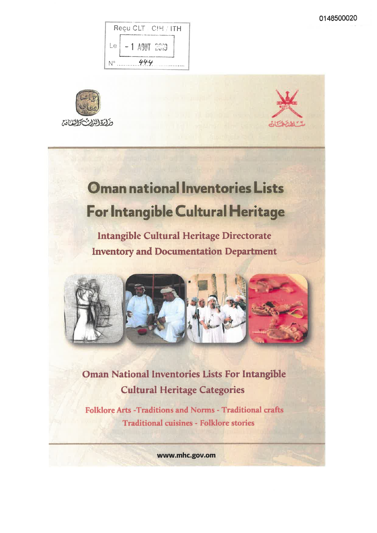





# **Oman national Inventories Lists** For Intangible Cultural Heritage

Intangible Cultural Heritage Directorate **Inventory and Documentation Department** 



Oman National Inventories Lists For Intangible **Cultural Heritage Categories** 

Folklore Arts - Traditions and Norms - Traditional crafts **Traditional cuisines - Folklore stories** 

www.mhc.gov.om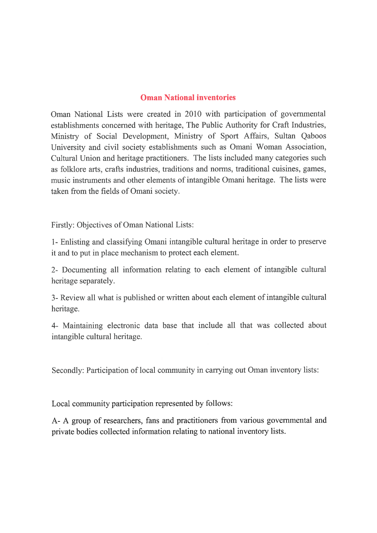#### Oman National inventories

Oman National Lists were created in 2010 with participation of govemmental establishments concerned with heritage. The Public Authority for Craft Industries, Ministry of Social Development, Ministry of Sport Affairs, Sultan Qaboos University and civil society establishments such as Omani Woman Association, Cultural Union and heritage practitioners. The lists included many categories such as folklore arts, crafts industries, traditions and norms, traditional cuisines, games, music instruments and other elements of intangible Omani heritage. The lists were taken from the fields of Omani society.

Firstly: Objectives of Oman National Lists:

1- Enlisting and classifying Omani intangible cultural héritage in order to preserve it and to put in place mechanism to protect each élément.

2- Documenting ail information relating to each élément of intangible cultural heritage separately.

3- Review ail what is published or written about each élément of intangible cultural heritage.

4- Maintaining electronic data base that include ail that was collected about intangible cultural heritage.

Secondly: Participation of local community in canying out Oman inventory lists:

Local community participation represented by follows:

A- A group of researchers, fans and practitioners from various governmental and private bodies collected information relating to national inventory lists.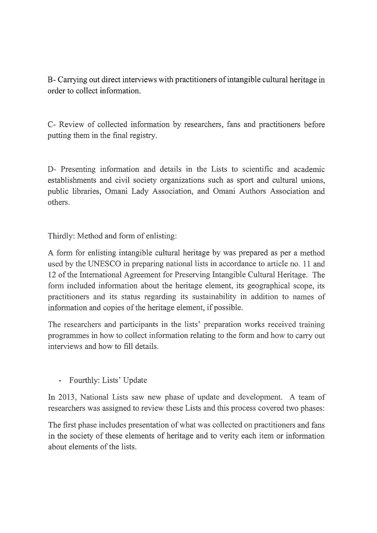B- Carrying out direct interviews with practitioners of intangible cultural heritage in order to collect information.

C- Review of collected information by researchers, fans and practitioners before putting them in thé final registry.

D- Presenting information and détails in thé Lists to scientific and académie establishments and civil society organizations such as sport and cultural unions, public libraries, Omani Lady Association, and Omani Authors Association and others.

Thirdly: Method and form of enlisting:

A form for enlisting intangible cultural heritage by was prepared as per a method used by thé UNESCO in preparing national lists in accordance to article no. 11 and 12 of the International Agreement for Preserving Intangible Cultural Heritage. The form included information about the heritage element, its geographical scope, its practitioners and its status regarding its sustainability in addition to names of information and copies of the heritage element, if possible.

The researchers and participants in the lists' preparation works received training programmes in how to collect information relating to thé fonn and how to carry out interviews and how to fill détails.

- Fourthly: Lists' Update

In 2013, National Lists saw new phase of update and development. A team of researchers was assigned to review these Lists and this process covered two phases:

The first phase includes presentation of what was collected on practitioners and fans in the society of these elements of heritage and to verity each item or information about elements of the lists.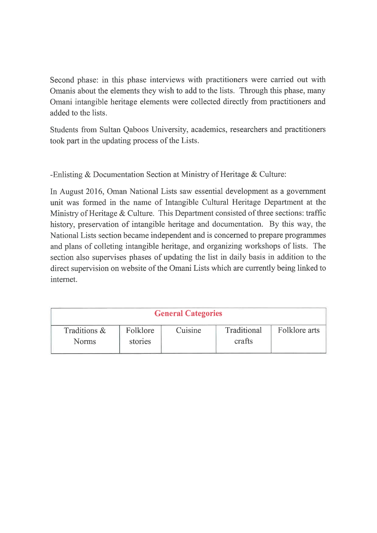Second phase: in this phase interviews with practitioners were carried out with Omanis about the elements they wish to add to the lists. Through this phase, many Omani intangible heritage elements were collected directly from practitioners and added to thé lists.

Students from Sultan Qaboos University, académies, researchers and practitioners took part in thé updating process of thé Lists.

-Enlisting & Documentation Section at Ministry of Heritage & Culture:

In August 2016, Oman National Lists saw essential development as a govemment unit was formed in the name of Intangible Cultural Heritage Department at the Ministry of Heritage  $&$  Culture. This Department consisted of three sections: traffic history, preservation of intangible heritage and documentation. By this way, the National Lists section became independent and is concerned to prepare programmes and plans of colleting intangible heritage, and organizing workshops of lists. The section also supervises phases of updating thé list in daily basis in addition to thé direct supervision on website of thé Omani Lists which are currently being linked to internet.

|                 | <b>General Categories</b> |         |             |               |  |  |  |
|-----------------|---------------------------|---------|-------------|---------------|--|--|--|
| Traditions $\&$ | Folklore                  | Cuisine | Traditional | Folklore arts |  |  |  |
| <b>Norms</b>    | stories                   |         | crafts      |               |  |  |  |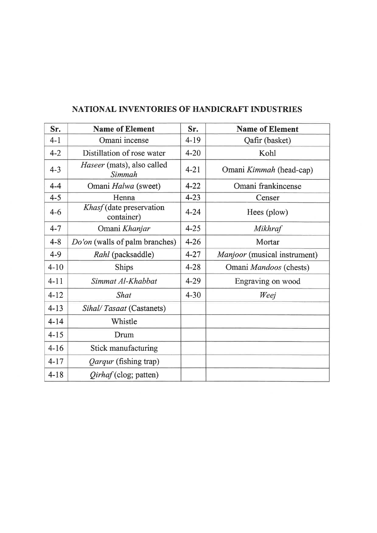| Sr.      | <b>Name of Element</b>                 | Sr.      | <b>Name of Element</b>       |
|----------|----------------------------------------|----------|------------------------------|
| $4 - 1$  | Omani incense                          | $4 - 19$ | Qafir (basket)               |
| $4 - 2$  | Distillation of rose water             | $4 - 20$ | Kohl                         |
| $4 - 3$  | Haseer (mats), also called<br>Simmah   | $4 - 21$ | Omani Kimmah (head-cap)      |
| $4 - 4$  | Omani Halwa (sweet)                    | $4 - 22$ | Omani frankincense           |
| $4 - 5$  | Henna                                  | $4 - 23$ | Censer                       |
| $4 - 6$  | Khasf (date preservation<br>container) | $4 - 24$ | Hees (plow)                  |
| $4 - 7$  | Omani Khanjar                          | $4 - 25$ | Mikhraf                      |
| $4 - 8$  | Do'on (walls of palm branches)         | $4 - 26$ | Mortar                       |
| $4 - 9$  | Rahl (packsaddle)                      | $4 - 27$ | Manjoor (musical instrument) |
| $4 - 10$ | <b>Ships</b>                           | $4 - 28$ | Omani Mandoos (chests)       |
| $4 - 11$ | Simmat Al-Khabbat                      | $4 - 29$ | Engraving on wood            |
| $4 - 12$ | <b>Shat</b>                            | $4 - 30$ | Weej                         |
| $4 - 13$ | Sihal/Tasaat (Castanets)               |          |                              |
| $4 - 14$ | Whistle                                |          |                              |
| $4 - 15$ | Drum                                   |          |                              |
| $4 - 16$ | Stick manufacturing                    |          |                              |
| $4 - 17$ | <i>Qarqur</i> (fishing trap)           |          |                              |
| $4 - 18$ | <i>Qirhaf</i> (clog; patten)           |          |                              |

### NATIONAL INVENTORIES 0F HANDICRAFT INDUSTRIES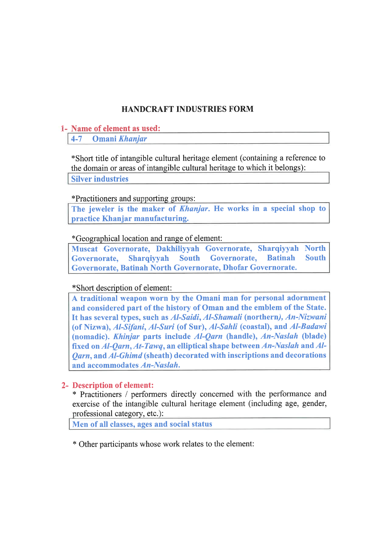### HANDCRAFT INDUSTRIES FORM

#### 1- Name of element as used:

4-7 Omani Khanjar

\* Short title of intangible cultural héritage élément (containing a référence to the domain or areas of intangible cultural heritage to which it belongs): Silver industries

#### \*Practitioners and supporting groups:

The jeweler is the maker of *Khanjar*. He works in a special shop to practice Khanjar manufacturing.

#### \*Geographical location and range of élément:

Muscat Governorate, Dakhiliyyah Governorate, Sharqiyyah North Governorate, Sharqiyyah South Governorate, Batinah South Governorate, Batinah North Governorate, Dhofar Governorate.

#### \*Short description of élément:

A traditional weapon worn by thé Omani man for personal adornment and considered part of the history of Oman and the emblem of the State. It has several types, such as Al-Saidi, Al-Shamali (northern), An-Nizwani (of Nizwa), Al-Sifani, Al-Suri (of Sur), Al-Sahli (coastal), and Al-Badawi (nomadic). Khinjar parts include Al-Qarn (handle), An-Naslah (blade) fixed on Al-Qarn, At-Tawq, an elliptical shape between An-Naslah and Al- $\mathit{Oarn}$ , and  $\mathit{Al-Ghimd}$  (sheath) decorated with inscriptions and decorations and accommodâtes An-Naslah.

#### 2- Description of élément:

\* Practitioners / perfonners directly concemed with thé perfomiance and exercise of the intangible cultural heritage element (including age, gender, professional category, etc.):

Men of all classes, ages and social status

\* Other participants whose work relates to thé élément: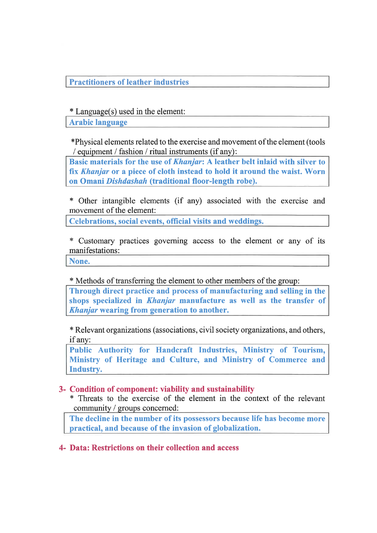Practitioners of leather industries

\* Language(s) used in the element:

Arabie language

\*Physical éléments related to thé exercise and movement of thé élément (tools / equipment / fashion / ritual instruments (if any):

Basic materials for the use of *Khanjar*: A leather belt inlaid with silver to fix Khanjar or a piece of cloth instead to hold it around the waist. Worn on Omani Dishdashah (traditional floor-length robe).

\* Other intangible éléments (if any) associated with thé exercise and movement of the element:

Celebrations, social events, official visits and weddings.

\* Customary practices goveming access to thé élément or any of its manifestations:

None.

\* Methods of transferring the element to other members of the group:

Through direct practice and process of manufacturing and selling in thé shops specialized in *Khanjar* manufacture as well as the transfer of Khanjar wearing from generation to another.

\* Relevant organizations (associations, civil society organizations, and others, ifany:

Public Authority for Handcraft Industries, Ministry of Tourism, Ministry of Heritage and Culture, and Ministry of Commerce and Industry.

#### 3- Condition of component: viability and sustainability

\* Threats to thé exercise of thé élément in thé context of thé relevant community / groups concerned:

The decline in the number of its possessors because life has become more practical, and because of the invasion of globalization.

#### 4- Data: Restrictions on their collection and access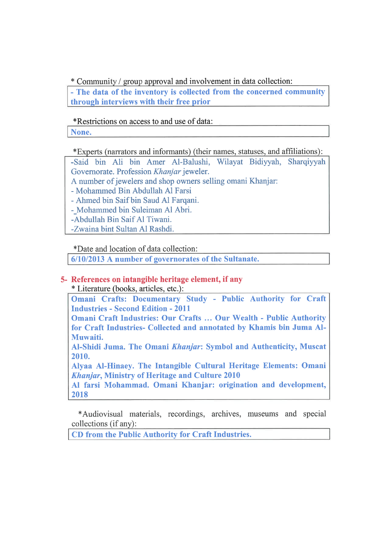\* Community / group approval and involvement in data collection:

- The data of the inventory is collected from the concerned community through interviews with their free prior

\*Restrictions on access to and use of data:

None.

\* Experts (narrators and informants) (their names, statuses, and affiliations):

-Said bin Ali bin Amer Al-Balushi, Wilayat Bidiyyah, Sharqiyyah Governorate. Profession Khanjar jeweler.

A number of jewelers and shop owners selling omani Khanjar:

- Mohammed Bin Abdullah Al Farsi

- Ahmed bin Saifbin Saud Al Farqani.

- Mohammed bin Suleiman Al Abri.

-Abdullah Bin Saif Al Tiwani.

-Zwaina bint Sultan Al Rashdi.

\*Date and location of data collection:

6/10/2013 A number of governorates of thé Sultanate.

### 5- References on intangible heritage element, if any

\* Literatire (books, articles, etc.):

Omani Crafts: Documentary Study - Public Authority for Craft Industries - Second Edition - 2011

Omani Craft Industries: Our Crafts ... Our Wealth - Public Authority for Craft Industries- Collected and annotated by Khamis bin Juma Al-Muwaiti.

Al-Shidi Juma. Thé Omani Khanjar: Symbol and Authenticity, Muscat 2010.

Alyaa Al-Hinaey. The Intangible Cultural Heritage Elements: Omani Khanjar, Ministry of Heritage and Culture 2010

Al farsi Mohammad. Omani Khanjar: origination and development, 2018

\*Audiovisual materials, recordings, archives, museums and special collections (ifany):

CD from thé Public Authority for Craft Industries.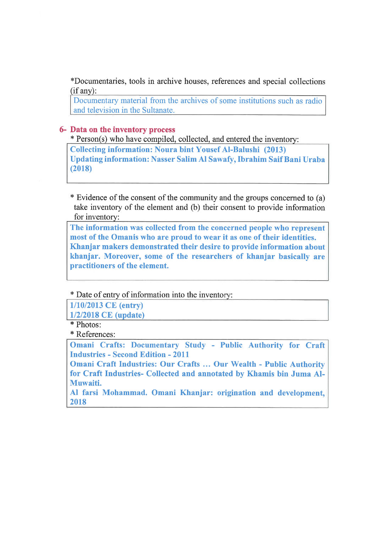\*Documentaries, tools in archive houses, references and spécial collections  $(if any):$ 

Documentary material from the archives of some institutions such as radio and television in the Sultanate.

#### 6- Data on thé inventory process

\* Person(s) who hâve compiled, collected, and entered thé inventory:

Collecting information: Noura bint YousefAl-Balushi (2013) Updating information: Nasser Salim Al Sawafy, Ibrahim SaifBani Uraba (2018)

\* Evidence of thé consent of thé community and thé groups concemed to (a) take inventory of the element and (b) their consent to provide information for inventory:

The information was collected from the concerned people who represent most of the Omanis who are proud to wear it as one of their identities. Khanjar makers demonstrated their desire to provide information about khanjar. Moreover, some of the researchers of khanjar basically are practitioners of the element.

\* Date of entry of information into the inventory:

1/10/2013 CE (entry)

1/2/2018 CE (update)

\* Photos:

\* Références:

Omani Crafts: Documentary Study - Public Authority for Craft Industries - Second Edition - 2011

Omani Craft Industries: Our Crafts ... Our Wealth - Public Authority for Craft Industries- Collected and annotated by Khamis bin Juma Al-Muwaiti.

Al farsi Mohammad. Omani Khanjar: origination and development, 2018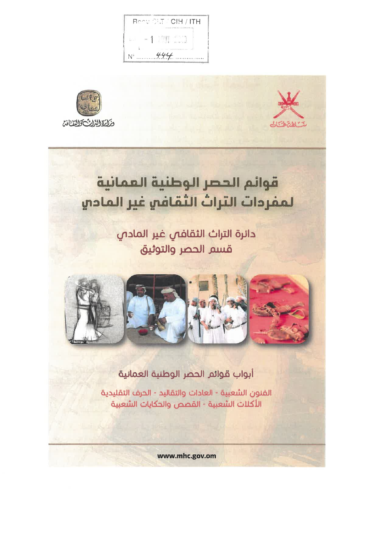





# قوائم الحصر الوطنية العمانية لمفردات التراث الثقافي غير المادي

دائرة التراث الثقافص غير المادص قسم الحصر والتوثيق



## أبواب قوائم الحصر الوطنية العمانية

الفنون الشعبية - العادات والتقاليد - الحرف التقليدية الأكلات الشعبية - القصص والحكايات الشعبية

www.mhc.gov.om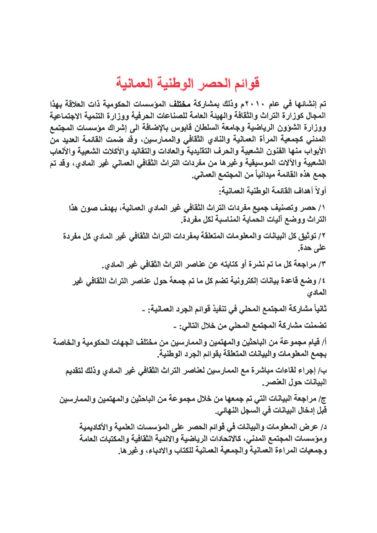# قوائم الحصر الوطنية العمانية

تم إنشائها في عام ٢٠١٠م وذلك بمشاركة مختلف المؤسسات الحكومية ذات العلاقة بهذا المجال كوزارة التراث والثقافة والهيئة العامة للصناعات الحرفية ووزارة التنمية الاجتماعية ووزارة الشؤون الرياضية وجامعة السلطان قابوس بالإضافة الى إشراك مؤسسات المجتمع المدنى كجمعية المرأة العمانية والنادي الثقافي والممارسين، وقد ضمت القائمة العديد من الأبواب منها القنون الشعبية والحرف التقليدية والعادات والتقاليد والأكلات الشعبية والألعاب الشعبية والآلات الموسيقية وغيرها من مقردات التراث الثقافي العماني غير المادي، وقد تم جمع هذه القائمة ميدانياً من المجتمع العماني.

أو لاَ أهداف القائمة الوطنية العمانية.

١/ حصر وتصنيف جميع مفردات التراث الثقافي غير المادي العمانية، بهدف صون هذا التراث ووضع آليات الحماية المناسبة لكل مفردة.

٢/ توثيق كل البيانات والمعلومات المتعلقة بمفردات التراث الثقافي غير المادي كل مفردة على حدة.

٢/ مراجعة كل ما تم نشرة أو كتابته عن عناصر التراث الثقافي غير المادي.

٤/ وضع قاعدة بيانات إلكترونية تضم كل ما تم جمعة حول عناصر التراث الثقافي غير المادي

ثانياً مشاركة المجتمع المحلي في تنفيذ قوائم الجرد العمانية: -

تضمنت مشاركة المجتمع المحلي من خلال التالي: -

أ/ قيام مجموعة من الباحثين والمهتمين والممارسين من مختلف الجهات الحكومية والخاصة بجمع المعلومات والبيانات المتعلقة بقوائم الجرد الوطنية.

ب/ إجراء لقاءات مباشرة مع الممارسين لعناصر التراث الثقافي غير المادي وذلك لتقديم البيانات حول العلصر .

ج/ مراجعة البيانات التي تم جمعها من خلال مجموعة من الباحثين والمهتمين والممارسين قبل إدخال البيانات في السجل النهائي.

د/ عرض المعلومات والبيانات في قوائم الحصر على المؤسسات العلمية والأكاديمية ومؤسسات المجتمع المدني، كالاتحادات الرياضية والاندية الثقافية والمكتبات العامة وجمعيات المراءة العمانية والجمعية العمانية للكتاب والادباء، وغيرها.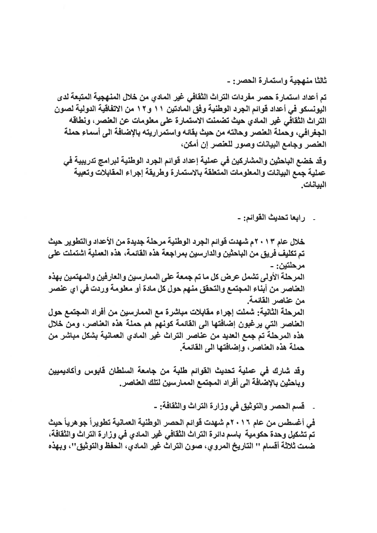ثالثًا منهجية واستمارة الحصر : -تم أعداد استمارة حصر مفردات التراث الثقافي غير المادي من خلال المنهجية المتبعة لدي اليونسكو في أعداد قوائم الجرد الوطنية وفق المادتين ١١ و١٢ من الاتفاقية الدولية لصون التراث الثقافي غير المادي حيث تضمنت الاستمارة على معلومات عن العنصر، ونطاقه الجغرافي، وحملة العنصر وحالته من حيث بقائه واستمراريته بالإضافة الى أسماء حملة العنصر وجامع البيانات وصور للعنصر إن أمكن،

وقد خضع الباحثين والمشاركين في عملية إعداد قوائم الجرد الوطنية لبرامج تدريبية في عملية جمع البيانات والمعلومات المتعلقة بالاستمارة وطريقة إجراء المقابلات وتعبية البيانات.

ر ابعا تحديث القوائم: -

خلال عام ٢٠١٣م شهدت قوائم الجرد الوطنية مرحلة جديدة من الأعداد والتطوير حيث تم تكليف فريق من الباحثين والدارسين بمراجعة هذه القائمة، هذه العملية اشتملت على مر حلتين ۽ ۔ المرحلة الأولى تشمل عرض كل ما تم جمعة على الممارسين والعارفين والمهتمين بهذه العناصر من أبناء المجتمع والتحقق منهم حول كل مادة أو معلومة وردت في اي عنصر من عناصر القائمة. المرحلة الثانية: شملت إجراء مقابلات مباشرة مع الممارسين من أفراد المجتمع حول العناصر التي يرغبون إضافتها الى القائمة كونهم هم حملة هذه العناصر، ومن خلال هذه المرحلة تم جمع العديد من عناصر التراث غير المادي العمانية بشكل مباشر من حملة هذه العناصر، وإضافتها الى القائمة.

وقد شارك في عملية تحديث القوائم طلبة من جامعة السلطان قابوس وأكاديميين وباحثين بالإضافة الى أفراد المجتمع الممارسين لتلك العناصر.

قسم الحصر والتوثيق في وزارة التراث والثقافة: -

في أغسطس من عام ٢٠١٦م شهدت قوائم الحصر الوطنية العمانية تطويراً جوهرياً حيث تم تشكيل وحدة حكومية باسم دائرة التراث الثقافي غير المادي في وزارة التراث والثقافة، ضمت ثلاثة أقسام '' التاريخ المروي، صون التراث غير المادي، الحفظ والتوثيق''، وبهذه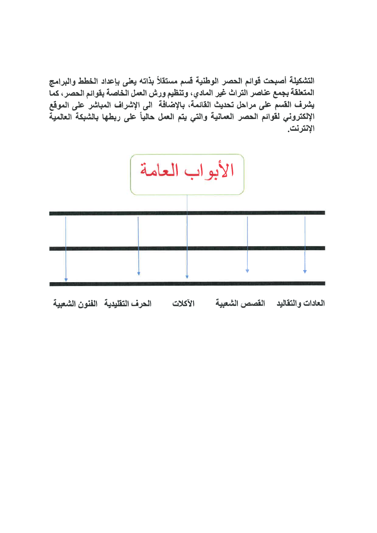التشكيلة أصبحت قوائم الحصر الوطنية قسم مستقلأ بذاته يعنى بإعداد الخطط والبرامج المتعلقة بجمع عناصر التراث غير المادي، وتنظيم ورش العمل الخاصة بقوائم الحصر، كما يشرف القسم على مراحل تحديث القائمة، بالإضافة الى الإشراف المباشر على الموقع الإلكتروني لقوائم الحصر العمانية والتي يتم العمل حالياً على ربطها بالشبكة العالمية الإنترنت.

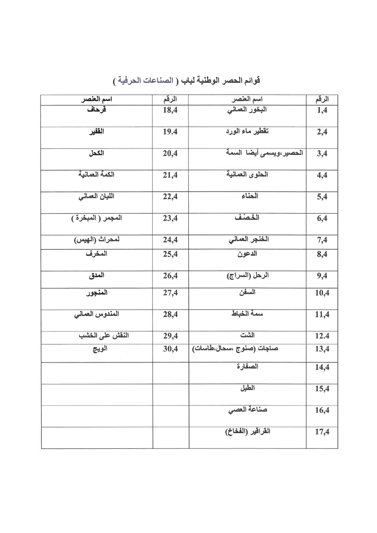| اسم العنصر        | الرقم | اسم العنصر               | الرقم |
|-------------------|-------|--------------------------|-------|
| قرحاف             | 18,4  | البخور العمانى           | 1,4   |
| القفير            | 19.4  | تقطير ماء الورد          | 2,4   |
| الكحل             | 20,4  | الحصير ،ويسمى أيضا السمة | 3,4   |
| الكمة العمانية    | 21,4  | الحلوى العمانية          | 4,4   |
| اللبان العمانى    | 22,4  | الحناء                   | 5,4   |
| المجمر (المبخرة ) | 23,4  | الذمنف                   | 6,4   |
| لمحراث (الهيس)    | 24,4  | الخنجر العمانى           | 7,4   |
| المخرف            | 25,4  | الدعون                   | 8,4   |
| المدق             | 26,4  | الرحل (السراج)           | 9,4   |
| المنجور           | 27,4  | السفن                    | 10,4  |
| المندوس العمانى   | 28,4  | سمة الخباط               | 11,4  |
| النقش على الخشب   | 29,4  | الشت                     | 12.4  |
| الويج             | 30,4  | صاجات (صنوج ،سحال،طاسات) | 13,4  |
|                   |       | الصفارة                  | 14,4  |
|                   |       | الطبل                    | 15,4  |
|                   |       | حسناعة العصى             | 16,4  |
|                   |       | القراقير (الفخاخ)        | 17,4  |

قوائم الحصر الوطنية لباب ( الصناعات الحرفية )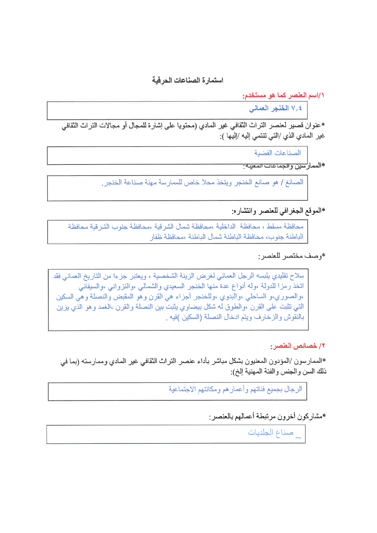استمارة الصناعات الحرفية

١/اسم العلصر كما هو مستخدم:

|| ٧٫٤ الخلجر العماني

\*عنوان قصير لعنصر التراث الثقافي غير المادي (محتويا على إشارة للمجال أو مجالات التراث الثقافي غير المادي الذي /التي تنتمي إليه /إليها ):

الصناعات الفضبة

\*الممار<sup>ل</sup>سين و الجماعات المعينة<del>:</del>

الصائغ / هو صانع الخنجر ويتخذ محلا خاص للممارسة مهنة صناعة الخنجر.

\*الموقع الجغرافي للعنصر وانتشاره:

محافظة مسقط ، محافظة الداخلية ،محافظة شمال الشر قية ،محافظة جنوب الشر قية محافظة الباطنة جنوب، محافظة الباطنة شمال الباطنة ،محافظة ظفار

\*وصف مختصر للعنصر:

سلاح تقليدي يلبسه الرجل العماني لغرض الزينة الشخصية ، ويعتبر جزءا من التاريخ العماني فقد اتخذ رمزا للدولة ،وله أنواع عدة منها الخنجر السعيدي والشمالي ،والنزواني ،والسيفاني ،والصوري،و الساحلي ،والبدوي ،وللخنجر أجزاء هي القرن وهو المقبض والنصلة وهي السكين التي تثبت على القرن ،والطوق له شكل بيضاوي يثبت بين النصلة والقرن ،الغمد وهو الذي يزين بالنقوش والزخارف ويتم ادخال النصلة (السكين )فيه

١/ خصائص العلصر :

\*الممارسون /المؤدون المعنيون بشكل مباشر بأداء عنصر التراث الثقافي غير المادي وممارسته (بما في ذلك السن والجنس والفئة المهنية إلخ):

الرجال بجميع فئاتهم وأعمار هم ومكانتهم الاجتماعية

\*مشاركون أخرون مرتبطة أعمالهم بالعنصر:

| \_ صناع الجلديات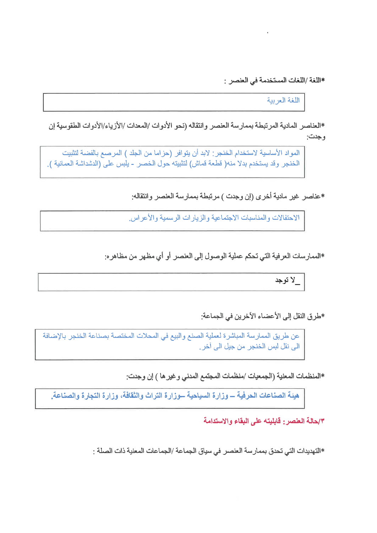\*اللغة /اللغات المستخدمة في العنصر :

اللغة العريبة

\*العناصر المادية المرتبطة بممارسة العنصر وانتقاله (نحو الأدوات /المعدات /الأزياء/الأدوات الطقوسية إن وجدت:

المواد الأساسية لاستخدام الخنجر : لابد أن يتوافر (حزاما من الجلد ) المرصع بالفضة لتثبيت الخنجر وقد يستخدم بدلا منه( قطعة قماش) لتثبيته حول الخصر - يلبس على (الدشداشة العمانية ).

\*عناصر غير مادية أخرى (إن وجدت ) مرتبطة بممارسة العنصر وانتقاله:

الاحتفالات والمناسبات الاجتماعية والزيار ات الرسمية والأعر اس.

\*الممارسات العرفية التي تحكم عملية الوصول إلى العنصر أو أي مظهر من مظاهر ه:

لا توجد

\*طرق النقل إلى الأعضاء الآخرين في الجماعة:

عن طريق الممارسة المباشرة لعملية الصنع والبيع في المحلات المختصة بصناعة الخنجر بالإضافة الے نقل لبس الخنجر من جيل الے آخر .

\*المنظمات المعنية (الجمعيات /منظمات المجتمع المدنى وغير ها ) إن وجدت:

هيئة الصناعات الحرفية ـــ وزارة السياحية ـــوزارة التراث والثقافة، وزارة التجارة والصناعة.

٧/هالة العنصر : قابليته على البقاء والاستدامة

\*التهديدات التي تحدق بممار سة العنصر في سياق الجماعة /الجماعات المعنية ذات الصلة :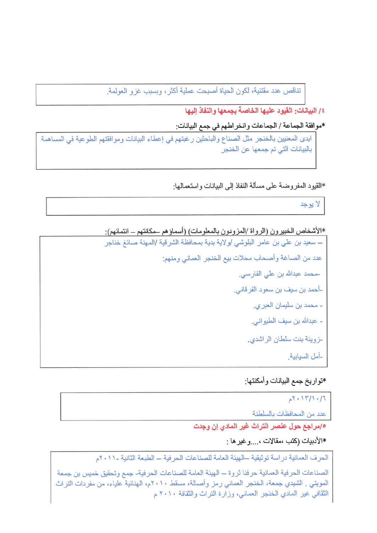تناقص عدد مقتنية، لكون الحياة أصبحت عملية أكثر، وبسبب غزو العولمة.

٤/ البيانات: القيود عليها الخاصة بجمعها والنفاذ اليها

\*موافقة الجماعة / الجماعات وانخر اطهم في جمع البيانات:

ابدي المعنيين بالخنجر مثل الصناع والباحثين رغبتهم في إعطاء البيانات وموافقتهم الطوعية في المساهمة بالبيانات التي تم جمعها عن الخنجر

\*القيود المفروضة على مسألة النفاذ إلى البيانات واستعمالها:

لا يوجد

\*الأشخاص الخبيرون (الرواة /المزودون بالمعلومات) (أسماؤهم حكانتهم ــ انتمائهم):

ـــ سعيد بن على بن عامر البلوشي /و لاية بدية بمحافظة الشر قية /المهنة صائغ خناجر عدد من الصاغة وأصحاب محلات بيع الخنجر العماني ومنهم: -محمد عبدالله بن على الفارسي. -أحمد بن سيف بن سعود الفرقاني<sub>.</sub> - محمد بن سليمان العبر *ي.* - عبدالله بن سيف الطيوان*ي.* -زوينة بنت سلطان الراشدي. -أمل السيابية.

\*تواريخ جمع البيانات وأمكنتها:

 $7.17/1.77$ عدد من المحافظات بالسلطنة 10/مراجع حول عنصر التراث غير المادي إن وجدت \*الأدبيات (كتب ،مقالات ، و غير ها :

الحرف العمانية دراسة توثيقية –الهيئة العامة للصناعات الحر فية – الطبعة الثانية -١١٠١م

الصناعات الحرفية العمانية حرفنا ثروة – الهيئة العامة للصناعات الحرفية- جمع وتحقيق خميس بن جمعة المويتي . الشيدي جمعة، الخنجر العماني رمز وأصالة، مسقط ٢٠١٠م، الهنائية علياء، من مفردات التراث الثقافي غير المادي الخنجر العماني، وزارة التراث والثقافة ٢٠١٠ م